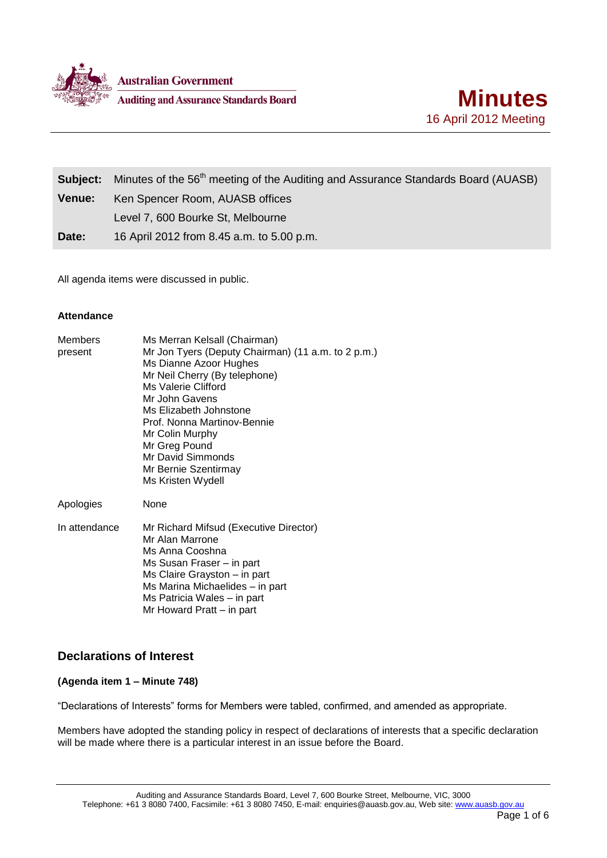

**Australian Government Auditing and Assurance Standards Board** 



|               | <b>Subject:</b> Minutes of the 56 <sup>th</sup> meeting of the Auditing and Assurance Standards Board (AUASB) |  |
|---------------|---------------------------------------------------------------------------------------------------------------|--|
| <b>Venue:</b> | Ken Spencer Room, AUASB offices                                                                               |  |
|               | Level 7, 600 Bourke St, Melbourne                                                                             |  |
| Date:         | 16 April 2012 from 8.45 a.m. to 5.00 p.m.                                                                     |  |

All agenda items were discussed in public.

### **Attendance**

| <b>Members</b><br>present | Ms Merran Kelsall (Chairman)<br>Mr Jon Tyers (Deputy Chairman) (11 a.m. to 2 p.m.)<br>Ms Dianne Azoor Hughes<br>Mr Neil Cherry (By telephone)<br>Ms Valerie Clifford<br>Mr John Gavens<br>Ms Elizabeth Johnstone<br>Prof. Nonna Martinov-Bennie<br>Mr Colin Murphy<br>Mr Greg Pound<br>Mr David Simmonds<br>Mr Bernie Szentirmay<br>Ms Kristen Wydell |
|---------------------------|-------------------------------------------------------------------------------------------------------------------------------------------------------------------------------------------------------------------------------------------------------------------------------------------------------------------------------------------------------|
| Apologies                 | None                                                                                                                                                                                                                                                                                                                                                  |
| In attendance             | Mr Richard Mifsud (Executive Director)<br>Mr Alan Marrone<br>Ms Anna Cooshna<br>Ms Susan Fraser – in part<br>Ms Claire Grayston - in part<br>Ms Marina Michaelides - in part<br>Ms Patricia Wales – in part<br>Mr Howard Pratt – in part                                                                                                              |

# **Declarations of Interest**

### **(Agenda item 1 – Minute 748)**

"Declarations of Interests" forms for Members were tabled, confirmed, and amended as appropriate.

Members have adopted the standing policy in respect of declarations of interests that a specific declaration will be made where there is a particular interest in an issue before the Board.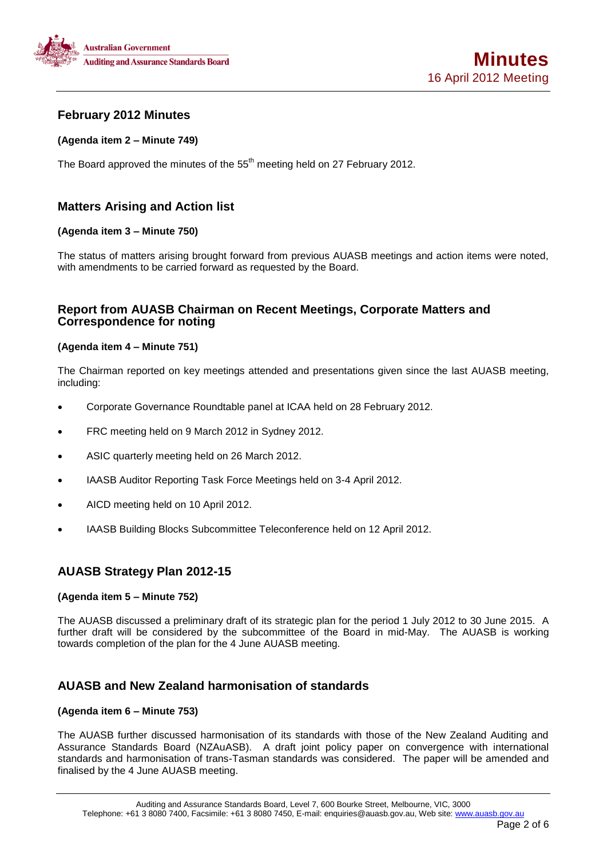

# **February 2012 Minutes**

### **(Agenda item 2 – Minute 749)**

The Board approved the minutes of the 55<sup>th</sup> meeting held on 27 February 2012.

# **Matters Arising and Action list**

### **(Agenda item 3 – Minute 750)**

The status of matters arising brought forward from previous AUASB meetings and action items were noted, with amendments to be carried forward as requested by the Board.

### **Report from AUASB Chairman on Recent Meetings, Corporate Matters and Correspondence for noting**

### **(Agenda item 4 – Minute 751)**

The Chairman reported on key meetings attended and presentations given since the last AUASB meeting, including:

- Corporate Governance Roundtable panel at ICAA held on 28 February 2012.
- FRC meeting held on 9 March 2012 in Sydney 2012.
- ASIC quarterly meeting held on 26 March 2012.
- IAASB Auditor Reporting Task Force Meetings held on 3-4 April 2012.
- AICD meeting held on 10 April 2012.
- IAASB Building Blocks Subcommittee Teleconference held on 12 April 2012.

## **AUASB Strategy Plan 2012-15**

### **(Agenda item 5 – Minute 752)**

The AUASB discussed a preliminary draft of its strategic plan for the period 1 July 2012 to 30 June 2015. A further draft will be considered by the subcommittee of the Board in mid-May. The AUASB is working towards completion of the plan for the 4 June AUASB meeting.

# **AUASB and New Zealand harmonisation of standards**

### **(Agenda item 6 – Minute 753)**

The AUASB further discussed harmonisation of its standards with those of the New Zealand Auditing and Assurance Standards Board (NZAuASB). A draft joint policy paper on convergence with international standards and harmonisation of trans-Tasman standards was considered. The paper will be amended and finalised by the 4 June AUASB meeting.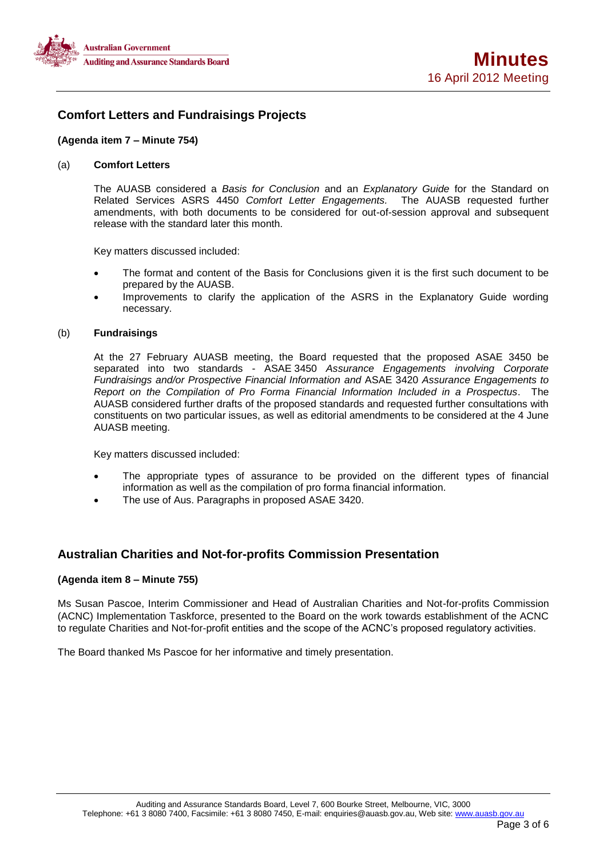

# **Comfort Letters and Fundraisings Projects**

### **(Agenda item 7 – Minute 754)**

### (a) **Comfort Letters**

The AUASB considered a *Basis for Conclusion* and an *Explanatory Guide* for the Standard on Related Services ASRS 4450 *Comfort Letter Engagements.* The AUASB requested further amendments, with both documents to be considered for out-of-session approval and subsequent release with the standard later this month.

Key matters discussed included:

- The format and content of the Basis for Conclusions given it is the first such document to be prepared by the AUASB.
- Improvements to clarify the application of the ASRS in the Explanatory Guide wording necessary.

### (b) **Fundraisings**

At the 27 February AUASB meeting, the Board requested that the proposed ASAE 3450 be separated into two standards - ASAE 3450 *Assurance Engagements involving Corporate Fundraisings and/or Prospective Financial Information and* ASAE 3420 *Assurance Engagements to Report on the Compilation of Pro Forma Financial Information Included in a Prospectus*. The AUASB considered further drafts of the proposed standards and requested further consultations with constituents on two particular issues, as well as editorial amendments to be considered at the 4 June AUASB meeting.

Key matters discussed included:

- The appropriate types of assurance to be provided on the different types of financial information as well as the compilation of pro forma financial information.
- The use of Aus. Paragraphs in proposed ASAE 3420.

## **Australian Charities and Not-for-profits Commission Presentation**

### **(Agenda item 8 – Minute 755)**

Ms Susan Pascoe, Interim Commissioner and Head of Australian Charities and Not-for-profits Commission (ACNC) Implementation Taskforce, presented to the Board on the work towards establishment of the ACNC to regulate Charities and Not-for-profit entities and the scope of the ACNC's proposed regulatory activities.

The Board thanked Ms Pascoe for her informative and timely presentation.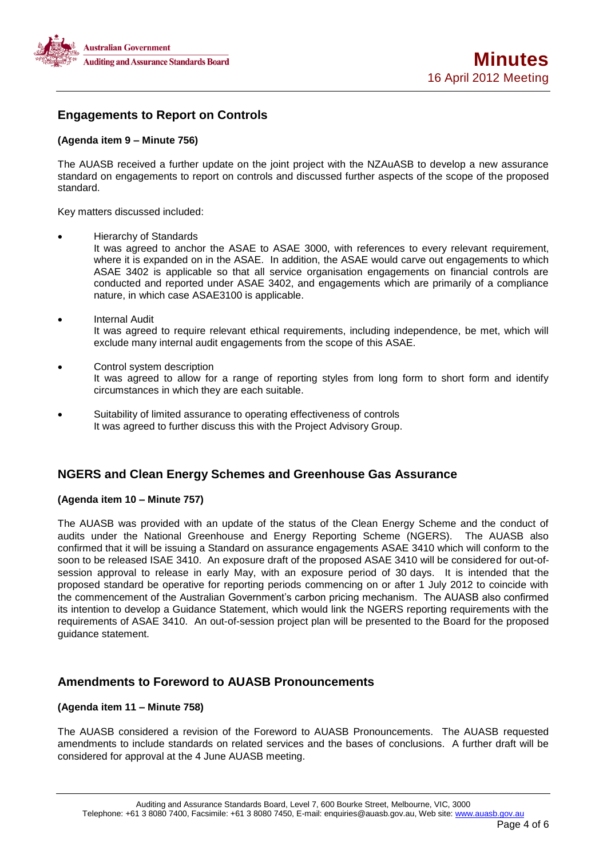

# **Engagements to Report on Controls**

### **(Agenda item 9 – Minute 756)**

The AUASB received a further update on the joint project with the NZAuASB to develop a new assurance standard on engagements to report on controls and discussed further aspects of the scope of the proposed standard.

Key matters discussed included:

Hierarchy of Standards

It was agreed to anchor the ASAE to ASAE 3000, with references to every relevant requirement, where it is expanded on in the ASAE. In addition, the ASAE would carve out engagements to which ASAE 3402 is applicable so that all service organisation engagements on financial controls are conducted and reported under ASAE 3402, and engagements which are primarily of a compliance nature, in which case ASAE3100 is applicable.

- Internal Audit It was agreed to require relevant ethical requirements, including independence, be met, which will exclude many internal audit engagements from the scope of this ASAE.
- Control system description It was agreed to allow for a range of reporting styles from long form to short form and identify circumstances in which they are each suitable.
- Suitability of limited assurance to operating effectiveness of controls It was agreed to further discuss this with the Project Advisory Group.

## **NGERS and Clean Energy Schemes and Greenhouse Gas Assurance**

### **(Agenda item 10 – Minute 757)**

The AUASB was provided with an update of the status of the Clean Energy Scheme and the conduct of audits under the National Greenhouse and Energy Reporting Scheme (NGERS). The AUASB also confirmed that it will be issuing a Standard on assurance engagements ASAE 3410 which will conform to the soon to be released ISAE 3410. An exposure draft of the proposed ASAE 3410 will be considered for out-ofsession approval to release in early May, with an exposure period of 30 days. It is intended that the proposed standard be operative for reporting periods commencing on or after 1 July 2012 to coincide with the commencement of the Australian Government's carbon pricing mechanism. The AUASB also confirmed its intention to develop a Guidance Statement, which would link the NGERS reporting requirements with the requirements of ASAE 3410. An out-of-session project plan will be presented to the Board for the proposed guidance statement.

## **Amendments to Foreword to AUASB Pronouncements**

### **(Agenda item 11 – Minute 758)**

The AUASB considered a revision of the Foreword to AUASB Pronouncements. The AUASB requested amendments to include standards on related services and the bases of conclusions. A further draft will be considered for approval at the 4 June AUASB meeting.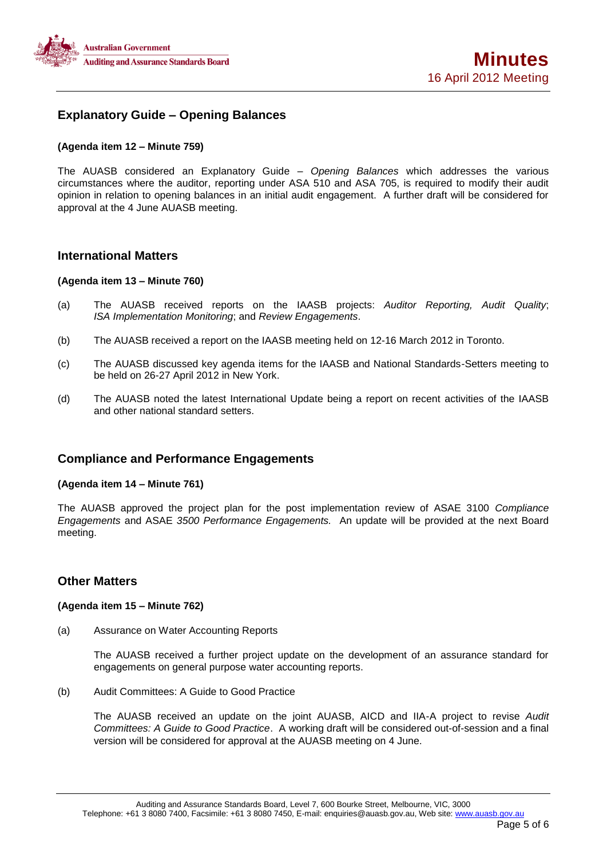

# **Explanatory Guide – Opening Balances**

### **(Agenda item 12 – Minute 759)**

The AUASB considered an Explanatory Guide – *Opening Balances* which addresses the various circumstances where the auditor, reporting under ASA 510 and ASA 705, is required to modify their audit opinion in relation to opening balances in an initial audit engagement. A further draft will be considered for approval at the 4 June AUASB meeting.

### **International Matters**

### **(Agenda item 13 – Minute 760)**

- (a) The AUASB received reports on the IAASB projects: *Auditor Reporting, Audit Quality*; *ISA Implementation Monitoring*; and *Review Engagements*.
- (b) The AUASB received a report on the IAASB meeting held on 12-16 March 2012 in Toronto.
- (c) The AUASB discussed key agenda items for the IAASB and National Standards-Setters meeting to be held on 26-27 April 2012 in New York.
- (d) The AUASB noted the latest International Update being a report on recent activities of the IAASB and other national standard setters.

## **Compliance and Performance Engagements**

### **(Agenda item 14 – Minute 761)**

The AUASB approved the project plan for the post implementation review of ASAE 3100 *Compliance Engagements* and ASAE *3500 Performance Engagements.* An update will be provided at the next Board meeting.

## **Other Matters**

### **(Agenda item 15 – Minute 762)**

(a) Assurance on Water Accounting Reports

The AUASB received a further project update on the development of an assurance standard for engagements on general purpose water accounting reports.

(b) Audit Committees: A Guide to Good Practice

The AUASB received an update on the joint AUASB, AICD and IIA-A project to revise *Audit Committees: A Guide to Good Practice*. A working draft will be considered out-of-session and a final version will be considered for approval at the AUASB meeting on 4 June.